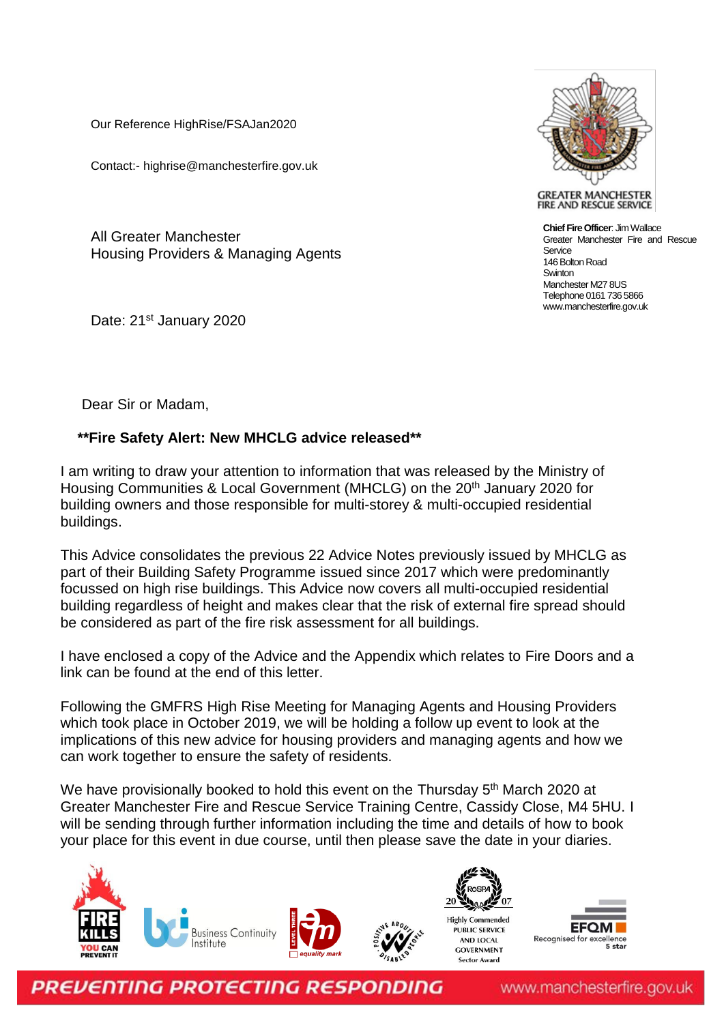Our Reference HighRise/FSAJan2020

Contact:- highrise@manchesterfire.gov.uk

All Greater Manchester Housing Providers & Managing Agents

Date: 21<sup>st</sup> January 2020



**GREATER MANCHESTER** FIRE AND RESCUE SERVICE

**Chief Fire Officer**: Jim Wallace Greater Manchester Fire and Rescue Sentice 146 Bolton Road **Swinton** Manchester M27 8US Telephone 0161 736 5866 www.manchesterfire.gov.uk

Dear Sir or Madam,

## **\*\*Fire Safety Alert: New MHCLG advice released\*\***

I am writing to draw your attention to information that was released by the Ministry of Housing Communities & Local Government (MHCLG) on the 20<sup>th</sup> January 2020 for building owners and those responsible for multi-storey & multi-occupied residential buildings.

This Advice consolidates the previous 22 Advice Notes previously issued by MHCLG as part of their Building Safety Programme issued since 2017 which were predominantly focussed on high rise buildings. This Advice now covers all multi-occupied residential building regardless of height and makes clear that the risk of external fire spread should be considered as part of the fire risk assessment for all buildings.

I have enclosed a copy of the Advice and the Appendix which relates to Fire Doors and a link can be found at the end of this letter.

Following the GMFRS High Rise Meeting for Managing Agents and Housing Providers which took place in October 2019, we will be holding a follow up event to look at the implications of this new advice for housing providers and managing agents and how we can work together to ensure the safety of residents.

We have provisionally booked to hold this event on the Thursday 5<sup>th</sup> March 2020 at Greater Manchester Fire and Rescue Service Training Centre, Cassidy Close, M4 5HU. I will be sending through further information including the time and details of how to book your place for this event in due course, until then please save the date in your diaries.





**PREVENTING PROTECTING RESPONDING** 

www.manchesterfire.gov.uk